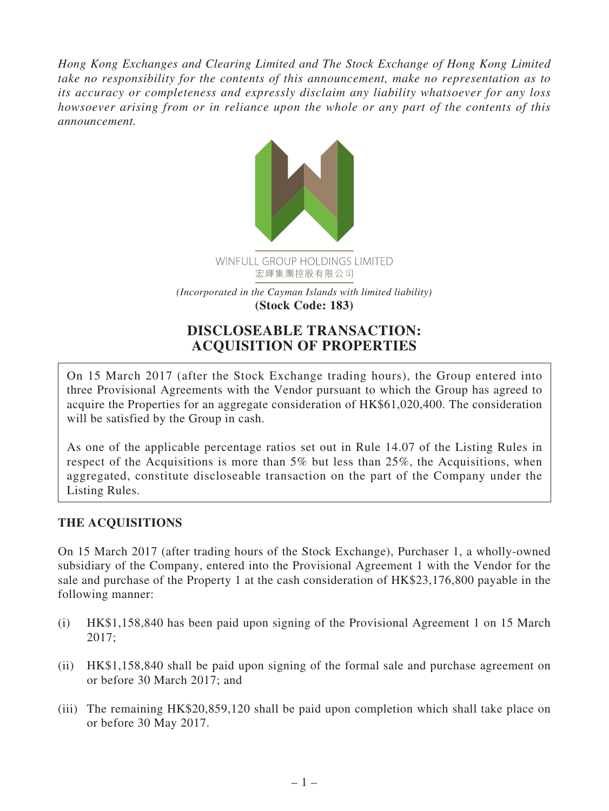*Hong Kong Exchanges and Clearing Limited and The Stock Exchange of Hong Kong Limited take no responsibility for the contents of this announcement, make no representation as to its accuracy or completeness and expressly disclaim any liability whatsoever for any loss howsoever arising from or in reliance upon the whole or any part of the contents of this announcement.*



# **DISCLOSEABLE TRANSACTION: ACQUISITION OF PROPERTIES**

On 15 March 2017 (after the Stock Exchange trading hours), the Group entered into three Provisional Agreements with the Vendor pursuant to which the Group has agreed to acquire the Properties for an aggregate consideration of HK\$61,020,400. The consideration will be satisfied by the Group in cash.

As one of the applicable percentage ratios set out in Rule 14.07 of the Listing Rules in respect of the Acquisitions is more than 5% but less than 25%, the Acquisitions, when aggregated, constitute discloseable transaction on the part of the Company under the Listing Rules.

## **THE ACQUISITIONS**

On 15 March 2017 (after trading hours of the Stock Exchange), Purchaser 1, a wholly-owned subsidiary of the Company, entered into the Provisional Agreement 1 with the Vendor for the sale and purchase of the Property 1 at the cash consideration of HK\$23,176,800 payable in the following manner:

- (i) HK\$1,158,840 has been paid upon signing of the Provisional Agreement 1 on 15 March 2017;
- (ii) HK\$1,158,840 shall be paid upon signing of the formal sale and purchase agreement on or before 30 March 2017; and
- (iii) The remaining HK\$20,859,120 shall be paid upon completion which shall take place on or before 30 May 2017.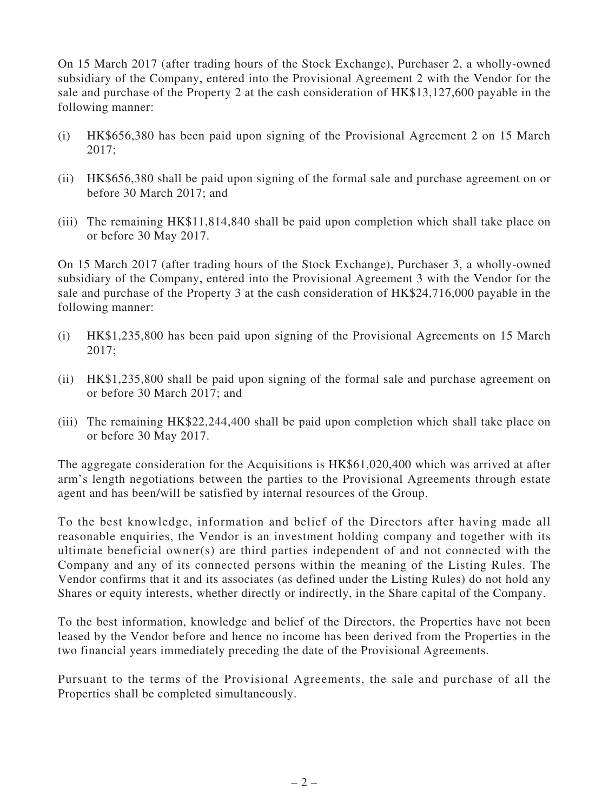On 15 March 2017 (after trading hours of the Stock Exchange), Purchaser 2, a wholly-owned subsidiary of the Company, entered into the Provisional Agreement 2 with the Vendor for the sale and purchase of the Property 2 at the cash consideration of HK\$13,127,600 payable in the following manner:

- (i) HK\$656,380 has been paid upon signing of the Provisional Agreement 2 on 15 March 2017;
- (ii) HK\$656,380 shall be paid upon signing of the formal sale and purchase agreement on or before 30 March 2017; and
- (iii) The remaining HK\$11,814,840 shall be paid upon completion which shall take place on or before 30 May 2017.

On 15 March 2017 (after trading hours of the Stock Exchange), Purchaser 3, a wholly-owned subsidiary of the Company, entered into the Provisional Agreement 3 with the Vendor for the sale and purchase of the Property 3 at the cash consideration of HK\$24,716,000 payable in the following manner:

- (i) HK\$1,235,800 has been paid upon signing of the Provisional Agreements on 15 March 2017;
- (ii) HK\$1,235,800 shall be paid upon signing of the formal sale and purchase agreement on or before 30 March 2017; and
- (iii) The remaining HK\$22,244,400 shall be paid upon completion which shall take place on or before 30 May 2017.

The aggregate consideration for the Acquisitions is HK\$61,020,400 which was arrived at after arm's length negotiations between the parties to the Provisional Agreements through estate agent and has been/will be satisfied by internal resources of the Group.

To the best knowledge, information and belief of the Directors after having made all reasonable enquiries, the Vendor is an investment holding company and together with its ultimate beneficial owner(s) are third parties independent of and not connected with the Company and any of its connected persons within the meaning of the Listing Rules. The Vendor confirms that it and its associates (as defined under the Listing Rules) do not hold any Shares or equity interests, whether directly or indirectly, in the Share capital of the Company.

To the best information, knowledge and belief of the Directors, the Properties have not been leased by the Vendor before and hence no income has been derived from the Properties in the two financial years immediately preceding the date of the Provisional Agreements.

Pursuant to the terms of the Provisional Agreements, the sale and purchase of all the Properties shall be completed simultaneously.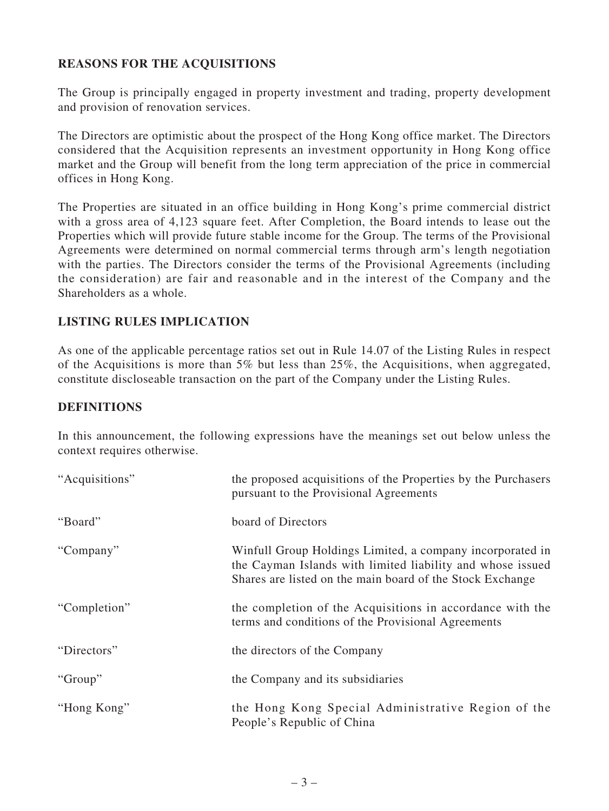### **REASONS FOR THE ACQUISITIONS**

The Group is principally engaged in property investment and trading, property development and provision of renovation services.

The Directors are optimistic about the prospect of the Hong Kong office market. The Directors considered that the Acquisition represents an investment opportunity in Hong Kong office market and the Group will benefit from the long term appreciation of the price in commercial offices in Hong Kong.

The Properties are situated in an office building in Hong Kong's prime commercial district with a gross area of 4,123 square feet. After Completion, the Board intends to lease out the Properties which will provide future stable income for the Group. The terms of the Provisional Agreements were determined on normal commercial terms through arm's length negotiation with the parties. The Directors consider the terms of the Provisional Agreements (including the consideration) are fair and reasonable and in the interest of the Company and the Shareholders as a whole.

#### **LISTING RULES IMPLICATION**

As one of the applicable percentage ratios set out in Rule 14.07 of the Listing Rules in respect of the Acquisitions is more than 5% but less than 25%, the Acquisitions, when aggregated, constitute discloseable transaction on the part of the Company under the Listing Rules.

#### **DEFINITIONS**

In this announcement, the following expressions have the meanings set out below unless the context requires otherwise.

| "Acquisitions" | the proposed acquisitions of the Properties by the Purchasers<br>pursuant to the Provisional Agreements                                                                              |
|----------------|--------------------------------------------------------------------------------------------------------------------------------------------------------------------------------------|
| "Board"        | board of Directors                                                                                                                                                                   |
| "Company"      | Winfull Group Holdings Limited, a company incorporated in<br>the Cayman Islands with limited liability and whose issued<br>Shares are listed on the main board of the Stock Exchange |
| "Completion"   | the completion of the Acquisitions in accordance with the<br>terms and conditions of the Provisional Agreements                                                                      |
| "Directors"    | the directors of the Company                                                                                                                                                         |
| "Group"        | the Company and its subsidiaries                                                                                                                                                     |
| "Hong Kong"    | the Hong Kong Special Administrative Region of the<br>People's Republic of China                                                                                                     |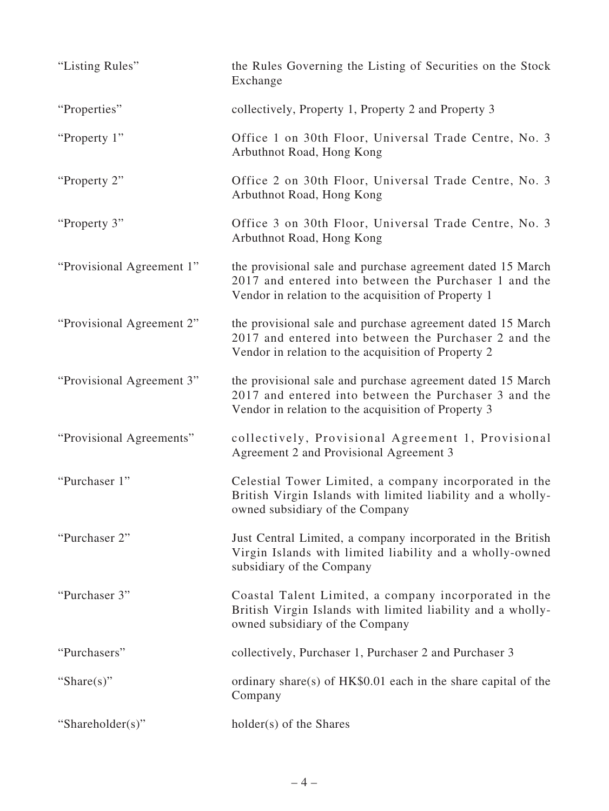| "Listing Rules"           | the Rules Governing the Listing of Securities on the Stock<br>Exchange                                                                                                     |
|---------------------------|----------------------------------------------------------------------------------------------------------------------------------------------------------------------------|
| "Properties"              | collectively, Property 1, Property 2 and Property 3                                                                                                                        |
| "Property 1"              | Office 1 on 30th Floor, Universal Trade Centre, No. 3<br>Arbuthnot Road, Hong Kong                                                                                         |
| "Property 2"              | Office 2 on 30th Floor, Universal Trade Centre, No. 3<br>Arbuthnot Road, Hong Kong                                                                                         |
| "Property 3"              | Office 3 on 30th Floor, Universal Trade Centre, No. 3<br>Arbuthnot Road, Hong Kong                                                                                         |
| "Provisional Agreement 1" | the provisional sale and purchase agreement dated 15 March<br>2017 and entered into between the Purchaser 1 and the<br>Vendor in relation to the acquisition of Property 1 |
| "Provisional Agreement 2" | the provisional sale and purchase agreement dated 15 March<br>2017 and entered into between the Purchaser 2 and the<br>Vendor in relation to the acquisition of Property 2 |
| "Provisional Agreement 3" | the provisional sale and purchase agreement dated 15 March<br>2017 and entered into between the Purchaser 3 and the<br>Vendor in relation to the acquisition of Property 3 |
| "Provisional Agreements"  | collectively, Provisional Agreement 1, Provisional<br>Agreement 2 and Provisional Agreement 3                                                                              |
| "Purchaser 1"             | Celestial Tower Limited, a company incorporated in the<br>British Virgin Islands with limited liability and a wholly-<br>owned subsidiary of the Company                   |
| "Purchaser 2"             | Just Central Limited, a company incorporated in the British<br>Virgin Islands with limited liability and a wholly-owned<br>subsidiary of the Company                       |
| "Purchaser 3"             | Coastal Talent Limited, a company incorporated in the<br>British Virgin Islands with limited liability and a wholly-<br>owned subsidiary of the Company                    |
| "Purchasers"              | collectively, Purchaser 1, Purchaser 2 and Purchaser 3                                                                                                                     |
| "Share $(s)$ "            | ordinary share(s) of $HK$0.01$ each in the share capital of the<br>Company                                                                                                 |
| "Shareholder(s)"          | holder(s) of the Shares                                                                                                                                                    |